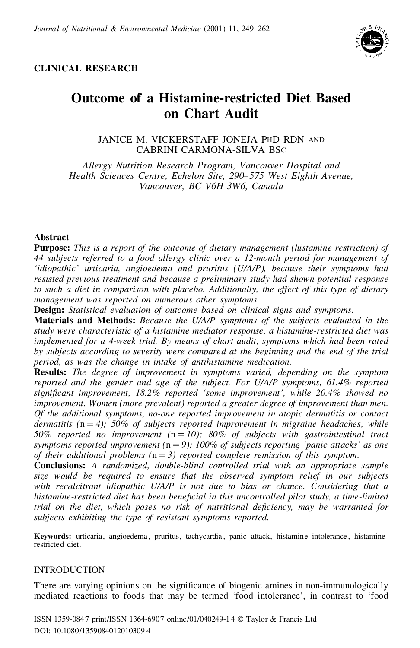

# **CLINICAL RESEARCH**

# **Outcome of a Histamine-restricted Diet Based on Chart Audit**

JANICE M. VICKERSTAFF JONEJA PHD RDN AND CABRINI CARMONA-SILVA BSC

*Allergy Nutrition Research Program, Vancouver Hospital and Health Sciences Centre, Echelon Site, 290– 575 West Eighth Avenue, Vancouver, BC V6H 3W6, Canada*

# **Abstract**

**Purpose:** *This is a report of the outcome of dietary management (histamine restriction) of 44 subjects referred to a food allergy clinic over a 12-month period for management of 'idiopathic' urticaria, angioedema and pruritus (U/A/P), because their symptoms had resisted previous treatment and because a preliminary study had shown potential response to such a diet in comparison with placebo. Additionally, the effect of this type of dietary management was reported on numerous other symptoms.*

**Design:** *Statistical evaluation of outcome based on clinical signs and symptoms.*

**Materials and Methods:** *Because the U/A/P symptoms of the subjects evaluated in the study were characteristic of a histamine mediator response, a histamine-restricted diet was implemented for a 4-week trial. By means of chart audit, symptoms which had been rated by subjects according to severity were compared at the beginning and the end of the trial period, as was the change in intake of antihistamine medication.*

**Results:** *The degree of improvement in symptoms varied, depending on the symptom reported and the gender and age of the subject. For U/A/P symptoms, 61.4% reported signi cant improvement, 18.2% reported 'some improvement', while 20.4% showed no improvement. Women (more prevalent) reported a greater degree of improvement than men. Of the additional symptoms, no-one reported improvement in atopic dermatitis or contact* dermatitis  $(n=4)$ ; 50% of subjects reported improvement in migraine headaches, while 50% reported no improvement  $(n=10)$ ; 80% of subjects with gastrointestinal tract *symptoms reported improvement* ( $n = 9$ ); *100% of subjects reporting 'panic attacks' as one of their additional problems* ( $n = 3$ ) *reported complete remission of this symptom.* 

**Conclusions:** A randomized, double-blind controlled trial with an appropriate sample *size would be required to ensure that the observed symptom relief in our subjects with recalcitrant idiopathic U/A/P is not due to bias or chance. Considering that a histamine-restricted diet has been bene cial in this uncontrolled pilot study, a time-limited trial on the diet, which poses no risk of nutritional de ciency, may be warranted for subjects exhibiting the type of resistant symptoms reported.*

**Keywords:** urticaria, angioedema , pruritus, tachycardia , panic attack, histamine intolerance , histaminerestricted diet.

# INTRODUCTION

There are varying opinions on the significance of biogenic amines in non-immunologically mediated reactions to foods that may be termed 'food intolerance', in contrast to 'food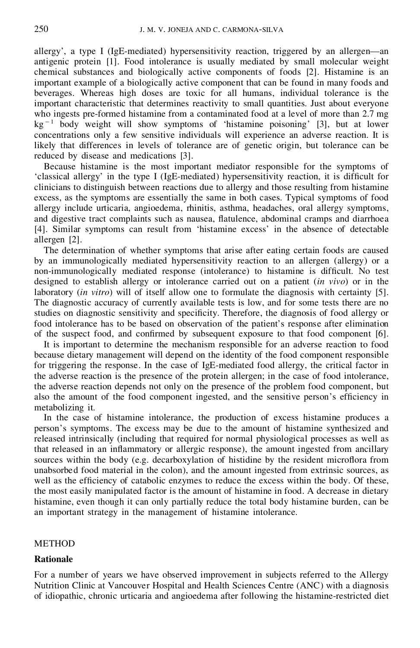allergy', a type I (IgE-mediated) hypersensitivity reaction, triggered by an allergen—an antigenic protein [1]. Food intolerance is usually mediated by small molecular weight chemical substances and biologically active components of foods [2]. Histamine is an important example of a biologically active component that can be found in many foods and beverages. Whereas high doses are toxic for all humans, individual tolerance is the important characteristic that determines reactivity to small quantities. Just about everyone who ingests pre-formed histamine from a contaminated food at a level of more than 2.7 mg  $kg<sup>-1</sup>$  body weight will show symptoms of 'histamine poisoning' [3], but at lower concentrations only a few sensitive individuals will experience an adverse reaction. It is likely that differences in levels of tolerance are of genetic origin, but tolerance can be reduced by disease and medications [3].

Because histamine is the most important mediator responsible for the symptoms of 'classical allergy' in the type I (IgE-mediated) hypersensitivity reaction, it is difficult for clinicians to distinguish between reactions due to allergy and those resulting from histamine excess, as the symptoms are essentially the same in both cases. Typical symptoms of food allergy include urticaria, angioedema, rhinitis, asthma, headaches, oral allergy symptoms, and digestive tract complaints such as nausea, flatulence, abdominal cramps and diarrhoea [4]. Similar symptoms can result from 'histamine excess' in the absence of detectable allergen [2].

The determination of whether symptoms that arise after eating certain foods are caused by an immunologically mediated hypersensitivity reaction to an allergen (allergy) or a non-immunologically mediated response (intolerance) to histamine is difficult. No test designed to establish allergy or intolerance carried out on a patient (*in vivo*) or in the laboratory (*in vitro*) will of itself allow one to formulate the diagnosis with certainty [5]. The diagnostic accuracy of currently available tests is low, and for some tests there are no studies on diagnostic sensitivity and specificity. Therefore, the diagnosis of food allergy or food intolerance has to be based on observation of the patient's response after elimination of the suspect food, and confirmed by subsequent exposure to that food component  $[6]$ .

It is important to determine the mechanism responsible for an adverse reaction to food because dietary management will depend on the identity of the food component responsible for triggering the response. In the case of IgE-mediated food allergy, the critical factor in the adverse reaction is the presence of the protein allergen; in the case of food intolerance, the adverse reaction depends not only on the presence of the problem food component, but also the amount of the food component ingested, and the sensitive person's efficiency in metabolizing it.

In the case of histamine intolerance, the production of excess histamine produces a person's symptoms. The excess may be due to the amount of histamine synthesized and released intrinsically (including that required for normal physiological processes as well as that released in an inflammatory or allergic response), the amount ingested from ancillary sources within the body (e.g. decarboxylation of histidine by the resident microflora from unabsorbed food material in the colon), and the amount ingested from extrinsic sources, as well as the efficiency of catabolic enzymes to reduce the excess within the body. Of these, the most easily manipulated factor is the amount of histamine in food. A decrease in dietary histamine, even though it can only partially reduce the total body histamine burden, can be an important strategy in the management of histamine intolerance.

# **METHOD**

### **Rationale**

For a number of years we have observed improvement in subjects referred to the Allergy Nutrition Clinic at Vancouver Hospital and Health Sciences Centre (ANC) with a diagnosis of idiopathic, chronic urticaria and angioedema after following the histamine-restricted diet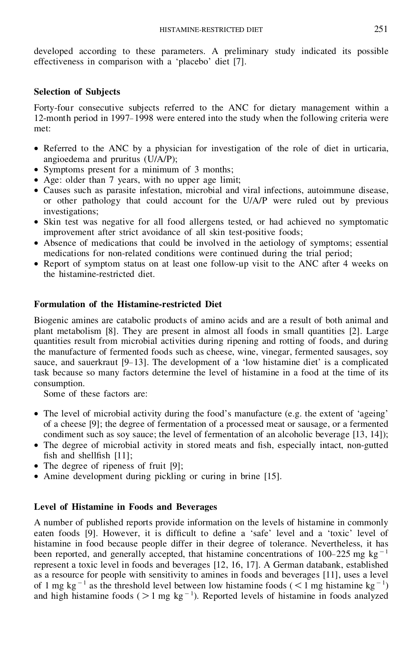developed according to these parameters. A preliminary study indicated its possible effectiveness in comparison with a 'placebo' diet [7].

# **Selection of Subjects**

Forty-four consecutive subjects referred to the ANC for dietary management within a 12-month period in 1997– 1998 were entered into the study when the following criteria were met:

- · Referred to the ANC by a physician for investigation of the role of diet in urticaria, angioedema and pruritus (U/A/P);
- · Symptoms present for a minimum of 3 months;
- Age: older than 7 years, with no upper age limit;
- · Causes such as parasite infestation, microbial and viral infections, autoimmune disease, or other pathology that could account for the U/A/P were ruled out by previous investigations;
- Skin test was negative for all food allergens tested, or had achieved no symptomatic improvement after strict avoidance of all skin test-positive foods;
- · Absence of medications that could be involved in the aetiology of symptoms; essential medications for non-related conditions were continued during the trial period;
- Report of symptom status on at least one follow-up visit to the ANC after 4 weeks on the histamine-restricted diet.

# **Formulation of the Histamine-restricted Diet**

Biogenic amines are catabolic products of amino acids and are a result of both animal and plant metabolism [8]. They are present in almost all foods in small quantities [2]. Large quantities result from microbial activities during ripening and rotting of foods, and during the manufacture of fermented foods such as cheese, wine, vinegar, fermented sausages, soy sauce, and sauerkraut [9–13]. The development of a 'low histamine diet' is a complicated task because so many factors determine the level of histamine in a food at the time of its consumption.

Some of these factors are:

- The level of microbial activity during the food's manufacture (e.g. the extent of 'ageing' of a cheese [9]; the degree of fermentation of a processed meat or sausage, or a fermented condiment such as soy sauce; the level of fermentation of an alcoholic beverage [13, 14]);
- The degree of microbial activity in stored meats and fish, especially intact, non-gutted fish and shell fish  $[11]$ ;
- · The degree of ripeness of fruit [9];
- Amine development during pickling or curing in brine [15].

# **Level of Histamine in Foods and Beverages**

A number of published reports provide information on the levels of histamine in commonly eaten foods [9]. However, it is difficult to define a 'safe' level and a 'toxic' level of histamine in food because people differ in their degree of tolerance. Nevertheless, it has been reported, and generally accepted, that histamine concentrations of 100–225 mg kg<sup>-1</sup> represent a toxic level in foods and beverages [12, 16, 17]. A German databank, established as a resource for people with sensitivity to amines in foods and beverages [11], uses a level of 1 mg kg<sup>-1</sup> as the threshold level between low histamine foods ( $\lt 1$  mg histamine kg<sup>-1</sup>) and high histamine foods ( $>1$  mg kg<sup>-1</sup>). Reported levels of histamine in foods analyzed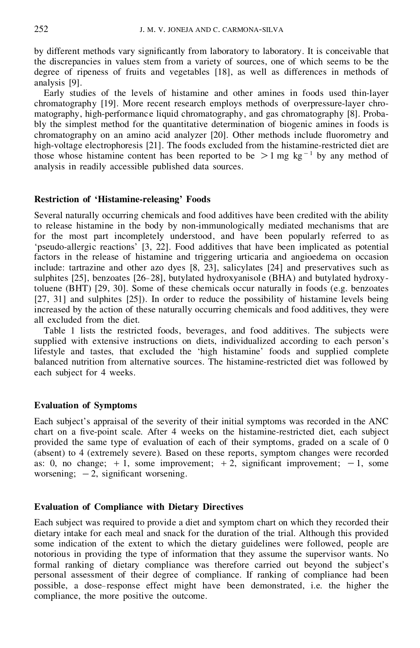by different methods vary significantly from laboratory to laboratory. It is conceivable that the discrepancies in values stem from a variety of sources, one of which seems to be the degree of ripeness of fruits and vegetables [18], as well as differences in methods of analysis [9].

Early studies of the levels of histamine and other amines in foods used thin-layer chromatography [19]. More recent research employs methods of overpressure-layer chro matography, high-performance liquid chromatography, and gas chromatography [8]. Probably the simplest method for the quantitative determination of biogenic amines in foods is chromatography on an amino acid analyzer [20]. Other methods include fluorometry and high-voltage electrophoresis [21]. The foods excluded from the histamine-restricted diet are those whose histamine content has been reported to be  $>1$  mg kg<sup>-1</sup> by any method of analysis in readily accessible published data sources.

### **Restriction of 'Histamine-releasing' Foods**

Several naturally occurring chemicals and food additives have been credited with the ability to release histamine in the body by non-immunologically mediated mechanisms that are for the most part incompletely understood, and have been popularly referred to as 'pseudo-allergic reactions' [3, 22]. Food additives that have been implicated as potential factors in the release of histamine and triggering urticaria and angioedema on occasion include: tartrazine and other azo dyes [8, 23], salicylates [24] and preservatives such as sulphites [25], benzoates [26–28], butylated hydroxyanisole (BHA) and butylated hydroxytoluene (BHT) [29, 30]. Some of these chemicals occur naturally in foods (e.g. benzoates [27, 31] and sulphites [25]). In order to reduce the possibility of histamine levels being increased by the action of these naturally occurring chemicals and food additives, they were all excluded from the diet.

Table 1 lists the restricted foods, beverages, and food additives. The subjects were supplied with extensive instructions on diets, individualized according to each person's lifestyle and tastes, that excluded the 'high histamine' foods and supplied complete balanced nutrition from alternative sources. The histamine-restricted diet was followed by each subject for 4 weeks.

### **Evaluation of Symptoms**

Each subject's appraisal of the severity of their initial symptoms was recorded in the ANC chart on a five-point scale. After 4 weeks on the histamine-restricted diet, each subject provided the same type of evaluation of each of their symptoms, graded on a scale of 0 (absent) to 4 (extremely severe). Based on these reports, symptom changes were recorded as: 0, no change;  $+1$ , some improvement;  $+2$ , significant improvement;  $-1$ , some worsening;  $-2$ , significant worsening.

# **Evaluation of Compliance with Dietary Directives**

Each subject was required to provide a diet and symptom chart on which they recorded their dietary intake for each meal and snack for the duration of the trial. Although this provided some indication of the extent to which the dietary guidelines were followed, people are notorious in providing the type of information that they assume the supervisor wants. No formal ranking of dietary compliance was therefore carried out beyond the subject's personal assessment of their degree of compliance. If ranking of compliance had been possible, a dose– response effect might have been demonstrated, i.e. the higher the compliance, the more positive the outcome.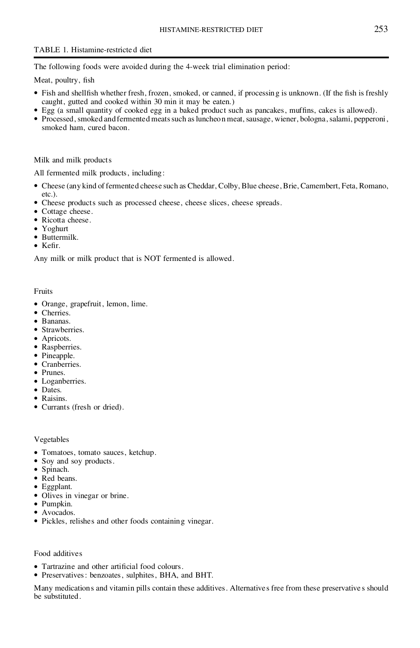# TABLE 1. Histamine-restricte d diet

The following foods were avoided during the 4-week trial elimination period:

Meat, poultry, fish

- Fish and shell fish whether fresh, frozen, smoked, or canned, if processing is unknown. (If the fish is freshly caught, gutted and cooked within 30 min it may be eaten.)
- Egg (a small quantity of cooked egg in a baked product such as pancakes, muffins, cakes is allowed).
- Processed, smoked and fermented meats such as luncheon meat, sausage, wiener, bologna, salami, pepperoni, smoked ham, cured bacon.

#### Milk and milk products

All fermented milk products, including:

- · Cheese (any kind of fermented cheese such as Cheddar, Colby, Blue cheese,Brie, Camembert, Feta, Romano, etc.).
- · Cheese products such as processed cheese, cheese slices, cheese spreads.
- · Cottage cheese.
- Ricotta cheese.
- · Yoghurt
- · Buttermilk.
- $\bullet$  Kefir.

Any milk or milk product that is NOT fermented is allowed.

Fruits

- · Orange, grapefruit, lemon, lime.
- Cherries.
- · Bananas.
- Strawberries.
- Apricots.
- · Raspberries.
- · Pineapple.
- · Cranberries.
- · Prunes.
- · Loganberries.
- · Dates.
- · Raisins.
- · Currants (fresh or dried).

Vegetables

- · Tomatoes, tomato sauces, ketchup.
- Soy and soy products.
- · Spinach.
- · Red beans.
- · Eggplant.
- Olives in vinegar or brine.
- · Pumpkin.
- Avocados.
- · Pickles, relishes and other foods containing vinegar.

Food additives

- Tartrazine and other artificial food colours.
- · Preservatives: benzoates, sulphites, BHA, and BHT.

Many medications and vitamin pills contain these additives. Alternatives free from these preservative s should be substituted.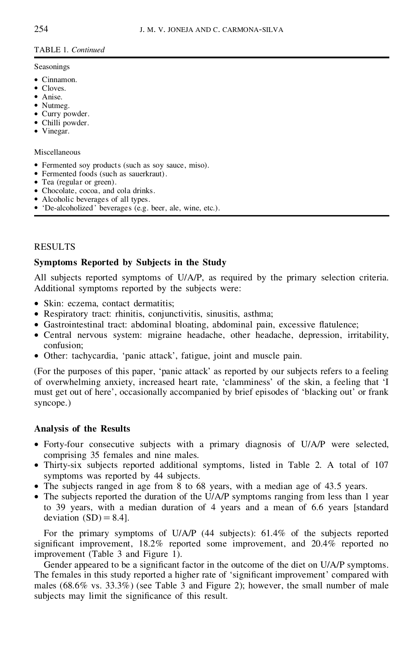# TABLE 1. *Continued*

#### Seasonings

- · Cinnamon.
- Cloves.
- · Anise.
- Nutmeg.
- · Curry powder.
- Chilli powder.
- Vinegar.

### Miscellaneous

- Fermented soy products (such as soy sauce, miso).
- · Fermented foods (such as sauerkraut).
- Tea (regular or green).
- · Chocolate, cocoa, and cola drinks.
- · Alcoholic beverages of all types.
- · 'De-alcoholized ' beverages (e.g. beer, ale, wine, etc.).

# RESULTS

# **Symptoms Reported by Subjects in the Study**

All subjects reported symptoms of U/A/P, as required by the primary selection criteria. Additional symptoms reported by the subjects were:

- Skin: eczema, contact dermatitis;
- Respiratory tract: rhinitis, conjunctivitis, sinusitis, asthma;
- Gastrointestinal tract: abdominal bloating, abdominal pain, excessive flatulence;
- · Central nervous system: migraine headache, other headache, depression, irritability, confusion;
- · Other: tachycardia, 'panic attack', fatigue, joint and muscle pain.

(For the purposes of this paper, 'panic attack' as reported by our subjects refers to a feeling of overwhelming anxiety, increased heart rate, 'clamminess' of the skin, a feeling that 'I must get out of here', occasionally accompanied by brief episodes of 'blacking out' or frank syncope.)

# **Analysis of the Results**

- · Forty-four consecutive subjects with a primary diagnosis of U/A/P were selected, comprising 35 females and nine males.
- · Thirty-six subjects reported additional symptoms, listed in Table 2. A total of 107 symptoms was reported by 44 subjects.
- The subjects ranged in age from 8 to 68 years, with a median age of 43.5 years.
- The subjects reported the duration of the U/A/P symptoms ranging from less than 1 year to 39 years, with a median duration of 4 years and a mean of 6.6 years [standard deviation  $(SD) = 8.4$ ].

For the primary symptoms of U/A/P (44 subjects): 61.4% of the subjects reported significant improvement,  $18.2\%$  reported some improvement, and  $20.4\%$  reported no improvement (Table 3 and Figure 1).

Gender appeared to be a significant factor in the outcome of the diet on U/A/P symptoms. The females in this study reported a higher rate of 'significant improvement' compared with males  $(68.6\% \text{ vs. } 33.3\%)$  (see Table 3 and Figure 2); however, the small number of male subjects may limit the significance of this result.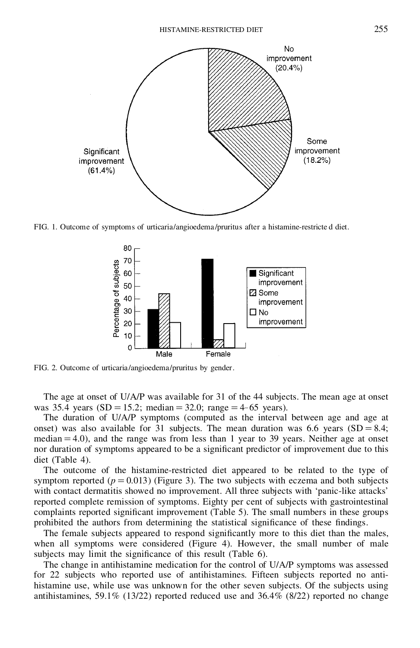

FIG. 1. Outcome of symptoms of urticaria/angioedema /pruritus after a histamine-restricte d diet.



FIG. 2. Outcome of urticaria/angioedema/pruritus by gender.

The age at onset of U/A/P was available for 31 of the 44 subjects. The mean age at onset was 35.4 years (SD = 15.2; median = 32.0; range = 4–65 years).

The duration of U/A/P symptoms (computed as the interval between age and age at onset) was also available for 31 subjects. The mean duration was 6.6 years  $(SD = 8.4;$ median  $= 4.0$ ), and the range was from less than 1 year to 39 years. Neither age at onset nor duration of symptoms appeared to be a significant predictor of improvement due to this diet (Table 4).

The outcome of the histamine-restricted diet appeared to be related to the type of symptom reported  $(p = 0.013)$  (Figure 3). The two subjects with eczema and both subjects with contact dermatitis showed no improvement. All three subjects with 'panic-like attacks' reported complete remission of symptoms. Eighty per cent of subjects with gastrointestinal complaints reported significant improvement (Table 5). The small numbers in these groups prohibited the authors from determining the statistical significance of these findings.

The female subjects appeared to respond significantly more to this diet than the males, when all symptoms were considered (Figure 4). However, the small number of male subjects may limit the significance of this result (Table 6).

The change in antihistamine medication for the control of U/A/P symptoms was assessed for 22 subjects who reported use of antihistamines. Fifteen subjects reported no anti histamine use, while use was unknown for the other seven subjects. Of the subjects using antihistamines, 59.1% (13/22) reported reduced use and 36.4% (8/22) reported no change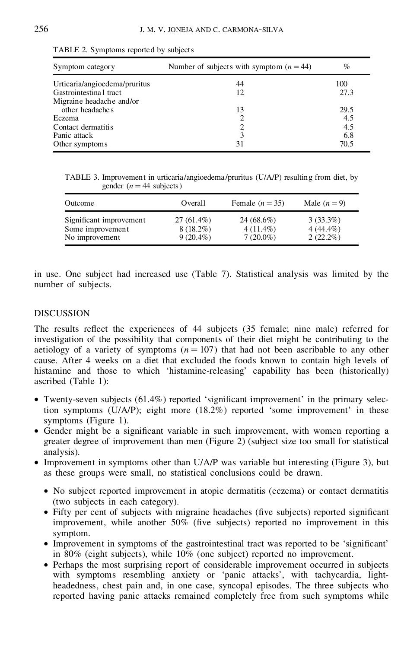| Symptom category              | Number of subjects with symptom $(n = 44)$ | $\%$ |
|-------------------------------|--------------------------------------------|------|
| Urticaria/angioedema/pruritus | 44                                         | 100  |
| Gastrointestina I tract       | 12                                         | 27.3 |
| Migraine headache and/or      |                                            |      |
| other headaches               | 13                                         | 29.5 |
| Eczema                        | 2                                          | 4.5  |
| Contact dermatitis            | ∍                                          | 4.5  |
| Panic attack                  | 3                                          | 6.8  |
| Other symptoms                | 31                                         | 70.5 |

TABLE 2. Symptoms reported by subjects

TABLE 3.Improvement in urticaria/angioedema /pruritus (U/A/P) resulting from diet, by gender  $(n = 44$  subjects)

| Outcome                 | Overall      | Female $(n = 35)$ | Male $(n=9)$ |
|-------------------------|--------------|-------------------|--------------|
| Significant improvement | $27(61.4\%)$ | $24(68.6\%)$      | $3(33.3\%)$  |
| Some improvement        | $8(18.2\%)$  | $4(11.4\%)$       | $4(44.4\%)$  |
| No improvement          | $9(20.4\%)$  | $7(20.0\%)$       | $2(22.2\%)$  |

in use. One subject had increased use (Table 7). Statistical analysis was limited by the number of subjects.

# DISCUSSION

The results reflect the experiences of 44 subjects (35 female; nine male) referred for investigation of the possibility that components of their diet might be contributing to the aetiology of a variety of symptoms  $(n = 107)$  that had not been ascribable to any other cause. After 4 weeks on a diet that excluded the foods known to contain high levels of histamine and those to which 'histamine-releasing' capability has been (historically) ascribed (Table 1):

- Twenty-seven subjects (61.4%) reported 'significant improvement' in the primary selection symptoms (U/A/P); eight more (18.2%) reported 'some improvement' in these symptoms (Figure 1).
- Gender might be a significant variable in such improvement, with women reporting a greater degree of improvement than men (Figure 2) (subject size too small for statistical analysis).
- Improvement in symptoms other than U/A/P was variable but interesting (Figure 3), but as these groups were small, no statistical conclusions could be drawn.
	- · No subject reported improvement in atopic dermatitis (eczema) or contact dermatitis (two subjects in each category).
	- Fifty per cent of subjects with migraine headaches (five subjects) reported significant improvement, while another  $50\%$  (five subjects) reported no improvement in this symptom.
	- Improvement in symptoms of the gastrointestinal tract was reported to be 'significant' in 80% (eight subjects), while 10% (one subject) reported no improvement.
	- · Perhaps the most surprising report of considerable improvement occurred in subjects with symptoms resembling anxiety or 'panic attacks', with tachycardia, light headedness, chest pain and, in one case, syncopal episodes. The three subjects who reported having panic attacks remained completely free from such symptoms while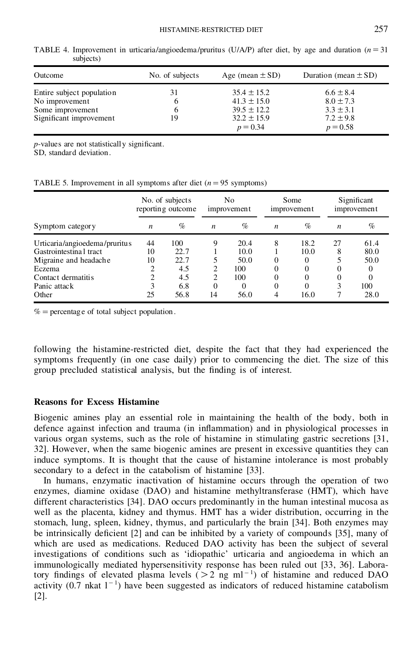| Outcome                   | No. of subjects | Age (mean $\pm$ SD)           | Duration (mean $\pm$ SD)    |
|---------------------------|-----------------|-------------------------------|-----------------------------|
| Entire subject population | 31              | $35.4 \pm 15.2$               | $6.6 \pm 8.4$               |
| No improvement            | 6               | $41.3 \pm 15.0$               | $8.0 \pm 7.3$               |
| Some improvement          | 6               | $39.5 \pm 12.2$               | $3.3 \pm 3.1$               |
| Significant improvement   | 19              | $32.2 \pm 15.9$<br>$p = 0.34$ | $7.2 \pm 9.8$<br>$p = 0.58$ |

TABLE 4. Improvement in urticaria/angioedema/pruritus (U/A/P) after diet, by age and duration  $(n = 31)$ subjects)

*p*-values are not statistically significant.

SD, standard deviation.

TABLE 5. Improvement in all symptoms after diet  $(n=95$  symptoms)

|                               |    | No. of subjects<br>reporting outcome |                | No<br>improvement |          | Some<br><i>improvement</i> |    | Significant<br>improvement |
|-------------------------------|----|--------------------------------------|----------------|-------------------|----------|----------------------------|----|----------------------------|
| Symptom category              | n  | $\%$                                 | n              | $\%$              | n        | $\%$                       | n  | $\%$                       |
| Urticaria/angioedema/pruritus | 44 | 100                                  | q              | 20.4              | 8        | 18.2                       | 27 | 61.4                       |
| Gastrointestina I tract       | 10 | 22.7                                 |                | 10.0              |          | 10.0                       | 8  | 80.0                       |
| Migraine and headache         | 10 | 22.7                                 | 5              | 50.0              | $\Omega$ | 0                          |    | 50.0                       |
| Eczema                        | 2  | 4.5                                  | 2              | 100               | $\Omega$ | 0                          |    | $\theta$                   |
| Contact dermatitis            | 2  | 4.5                                  | $\overline{c}$ | 100               | 0        | 0                          |    |                            |
| Panic attack                  | 3  | 6.8                                  | $\theta$       | $_{0}$            | $\theta$ | 0                          |    | 100                        |
| Other                         | 25 | 56.8                                 | 14             | 56.0              | 4        | 16.0                       |    | 28.0                       |

 $% =$  percentage of total subject population.

following the histamine-restricted diet, despite the fact that they had experienced the symptoms frequently (in one case daily) prior to commencing the diet. The size of this group precluded statistical analysis, but the finding is of interest.

# **Reasons for Excess Histamine**

Biogenic amines play an essential role in maintaining the health of the body, both in defence against infection and trauma (in inflammation) and in physiological processes in various organ systems, such as the role of histamine in stimulating gastric secretions [31, 32]. However, when the same biogenic amines are present in excessive quantities they can induce symptoms. It is thought that the cause of histamine intolerance is most probably secondary to a defect in the catabolism of histamine [33].

In humans, enzymatic inactivation of histamine occurs through the operation of two enzymes, diamine oxidase (DAO) and histamine methyltransferase (HMT), which have different characteristics [34]. DAO occurs predominantly in the human intestinal mucosa as well as the placenta, kidney and thymus. HMT has a wider distribution, occurring in the stomach, lung, spleen, kidney, thymus, and particularly the brain [34]. Both enzymes may be intrinsically deficient  $[2]$  and can be inhibited by a variety of compounds  $[35]$ , many of which are used as medications. Reduced DAO activity has been the subject of several investigations of conditions such as 'idiopathic' urticaria and angioedema in which an immunologically mediated hypersensitivity response has been ruled out [33, 36]. Laboratory findings of elevated plasma levels  $(>2 \text{ ng ml}^{-1})$  of histamine and reduced DAO activity  $(0.7 \text{ hkat } 1^{-1})$  have been suggested as indicators of reduced histamine catabolism [2].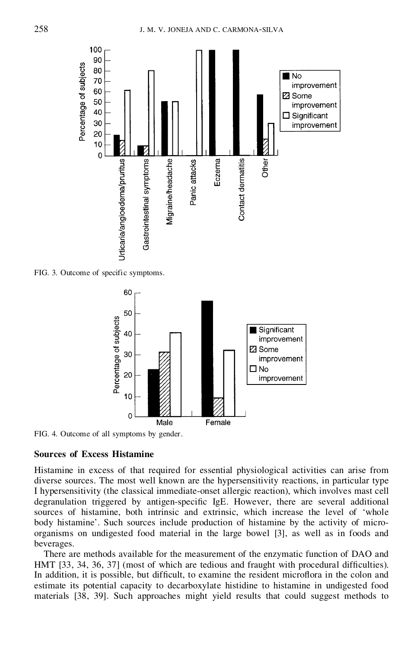

FIG. 3. Outcome of specific symptoms.



FIG. 4. Outcome of all symptoms by gender.

### **Sources of Excess Histamine**

Histamine in excess of that required for essential physiological activities can arise from diverse sources. The most well known are the hypersensitivity reactions, in particular type I hypersensitivity (the classical immediate-onset allergic reaction), which involves mast cell degranulation triggered by antigen-specific IgE. However, there are several additional sources of histamine, both intrinsic and extrinsic, which increase the level of 'whole body histamine'. Such sources include production of histamine by the activity of micro organisms on undigested food material in the large bowel [3], as well as in foods and beverages.

There are methods available for the measurement of the enzymatic function of DAO and HMT [33, 34, 36, 37] (most of which are tedious and fraught with procedural difficulties). In addition, it is possible, but difficult, to examine the resident microflora in the colon and estimate its potential capacity to decarboxylate histidine to histamine in undigested food materials [38, 39]. Such approaches might yield results that could suggest methods to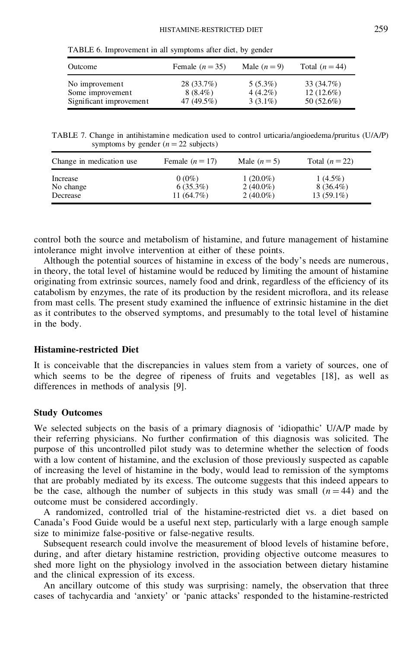| Outcome                 | Female $(n=35)$ | Male $(n=9)$ | Total $(n=44)$ |
|-------------------------|-----------------|--------------|----------------|
| No improvement          | 28(33.7%)       | $5(5.3\%)$   | 33 (34.7%)     |
| Some improvement        | $8(8.4\%)$      | $4(4.2\%)$   | $12(12.6\%)$   |
| Significant improvement | 47 (49.5%)      | $3(3.1\%)$   | 50 $(52.6\%)$  |

TABLE 6. Improvement in all symptoms after diet, by gender

TABLE 7. Change in antihistamine medication used to control urticaria/angioedema /pruritus (U/A/P) symptoms by gender  $(n = 22$  subjects)

| Change in medication use. | Female $(n = 17)$ | Male $(n=5)$ | Total $(n=22)$ |
|---------------------------|-------------------|--------------|----------------|
| Increase                  | $0(0\%)$          | $1(20.0\%)$  | $1(4.5\%)$     |
| No change                 | $6(35.3\%)$       | $2(40.0\%)$  | $8(36.4\%)$    |
| Decrease                  | 11 $(64.7%)$      | $2(40.0\%)$  | $13(59.1\%)$   |

control both the source and metabolism of histamine, and future management of histamine intolerance might involve intervention at either of these points.

Although the potential sources of histamine in excess of the body's needs are numerous, in theory, the total level of histamine would be reduced by limiting the amount of histamine originating from extrinsic sources, namely food and drink, regardless of the efficiency of its catabolism by enzymes, the rate of its production by the resident microflora, and its release from mast cells. The present study examined the influence of extrinsic histamine in the diet as it contributes to the observed symptoms, and presumably to the total level of histamine in the body.

## **Histamine-restricted Diet**

It is conceivable that the discrepancies in values stem from a variety of sources, one of which seems to be the degree of ripeness of fruits and vegetables [18], as well as differences in methods of analysis [9].

### **Study Outcomes**

We selected subjects on the basis of a primary diagnosis of 'idiopathic' U/A/P made by their referring physicians. No further confirmation of this diagnosis was solicited. The purpose of this uncontrolled pilot study was to determine whether the selection of foods with a low content of histamine, and the exclusion of those previously suspected as capable of increasing the level of histamine in the body, would lead to remission of the symptoms that are probably mediated by its excess. The outcome suggests that this indeed appears to be the case, although the number of subjects in this study was small  $(n = 44)$  and the outcome must be considered accordingly.

A randomized, controlled trial of the histamine-restricted diet vs. a diet based on Canada's Food Guide would be a useful next step, particularly with a large enough sample size to minimize false-positive or false-negative results.

Subsequent research could involve the measurement of blood levels of histamine before, during, and after dietary histamine restriction, providing objective outcome measures to shed more light on the physiology involved in the association between dietary histamine and the clinical expression of its excess.

An ancillary outcome of this study was surprising: namely, the observation that three cases of tachycardia and 'anxiety' or 'panic attacks' responded to the histamine-restricted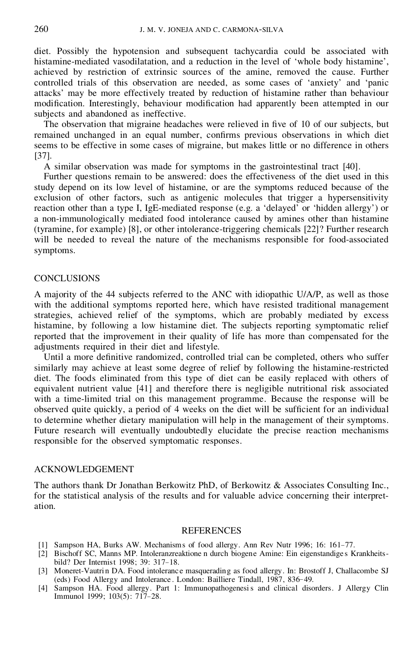diet. Possibly the hypotension and subsequent tachycardia could be associated with histamine-mediated vasodilatation, and a reduction in the level of 'whole body histamine', achieved by restriction of extrinsic sources of the amine, removed the cause. Further controlled trials of this observation are needed, as some cases of 'anxiety' and 'panic attacks' may be more effectively treated by reduction of histamine rather than behaviour modification. Interestingly, behaviour modification had apparently been attempted in our subjects and abandoned as ineffective.

The observation that migraine headaches were relieved in five of 10 of our subjects, but remained unchanged in an equal number, confirms previous observations in which diet seems to be effective in some cases of migraine, but makes little or no difference in others [37].

A similar observation was made for symptoms in the gastrointestinal tract [40].

Further questions remain to be answered: does the effectiveness of the diet used in this study depend on its low level of histamine, or are the symptoms reduced because of the exclusion of other factors, such as antigenic molecules that trigger a hypersensitivity reaction other than a type I, IgE-mediated response (e.g. a 'delayed' or 'hidden allergy') or a non-immunologically mediated food intolerance caused by amines other than histamine (tyramine, for example) [8], or other intolerance-triggering chemicals [22]? Further research will be needed to reveal the nature of the mechanisms responsible for food-associated symptoms.

### **CONCLUSIONS**

A majority of the 44 subjects referred to the ANC with idiopathic U/A/P, as well as those with the additional symptoms reported here, which have resisted traditional management strategies, achieved relief of the symptoms, which are probably mediated by excess histamine, by following a low histamine diet. The subjects reporting symptomatic relief reported that the improvement in their quality of life has more than compensated for the adjustments required in their diet and lifestyle.

Until a more definitive randomized, controlled trial can be completed, others who suffer similarly may achieve at least some degree of relief by following the histamine-restricted diet. The foods eliminated from this type of diet can be easily replaced with others of equivalent nutrient value [41] and therefore there is negligible nutritional risk associated with a time-limited trial on this management programme. Because the response will be observed quite quickly, a period of 4 weeks on the diet will be sufficient for an individual to determine whether dietary manipulation will help in the management of their symptoms. Future research will eventually undoubtedly elucidate the precise reaction mechanisms responsible for the observed symptomatic responses.

### ACKNOWLEDGEMENT

The authors thank Dr Jonathan Berkowitz PhD, of Berkowitz & Associates Consulting Inc., for the statistical analysis of the results and for valuable advice concerning their interpret ation.

#### REFERENCES

- [1] Sampson HA, Burks AW. Mechanisms of food allergy. Ann Rev Nutr 1996; 16: 161–77.
- [2] Bischoff SC, Manns MP. Intoleranzreaktione n durch biogene Amine: Ein eigenstandige s Krankheits bild? Der Internist 1998; 39: 317–18.
- [3] Moneret-Vautri n DA. Food intoleranc e masquerading as food allergy. In: Brostoff J, Challacombe SJ (eds) Food Allergy and Intolerance . London: Bailliere Tindall, 1987, 836– 49.
- [4] Sampson HA. Food allergy. Part 1: Immunopathogenesis and clinical disorders. J Allergy Clin Immunol 1999; 103(5): 717–28.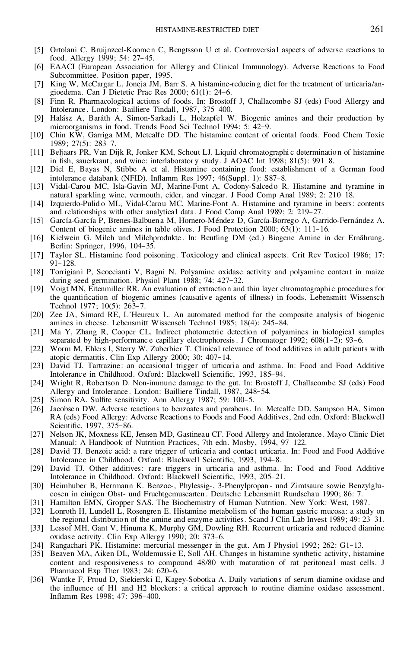- [5] Ortolani C, Bruijnzeel-Koome n C, Bengtsson U et al. Controversial aspects of adverse reactions to food. Allergy 1999: 54: 27-45.
- [6] EAACI (European Association for Allergy and Clinical Immunology). Adverse Reactions to Food Subcommittee. Position paper, 1995.
- [7] King W, McCargar L, Joneja JM, Barr S. A histamine-reducin g diet for the treatment of urticaria/an gioedema. Can J Dietetic Prac Res 2000; 61(1): 24–6.
- [8] Finn R. Pharmacologica l actions of foods. In: Brostoff J, Challacombe SJ (eds) Food Allergy and Intolerance . London: Bailliere Tindall, 1987, 375–400.
- [9] Halász A, Baráth A, Simon-Sarkadi L, Holzapfel W. Biogenic amines and their production by microorganisms in food. Trends Food Sci Technol 1994; 5: 42–9.
- [10] Chin KW, Garriga MM, Metcalfe DD. The histamine content of oriental foods. Food Chem Toxic 1989; 27(5): 283–7.
- [11] Beljaars PR, Van Dijk R, Jonker KM, Schout LJ. Liquid chromatographi c determination of histamine in fish, sauerkraut, and wine: interlaborator y study. J AOAC Int  $1998$ ;  $81(5)$ :  $991-8$ .
- [12] Diel E, Bayas N, Stibbe A et al. Histamine containing food: establishment of a German food intolerance databank (NFID). Inflamm Res 1997; 46(Suppl. 1): S87-8.
- [13] Vidal-Carou MC, Isla-Gavin MJ, Marine-Font A, Codony-Salcedo R. Histamine and tyramine in natural sparkling wine, vermouth, cider, and vinegar. J Food Comp Anal 1989; 2: 210– 18.
- [14] Izquierdo-Pulid o ML, Vidal-Carou MC, Marine-Font A. Histamine and tyramine in beers: contents and relationship s with other analytical data. J Food Comp Anal 1989; 2: 219-27.
- [15] García-García P, Brenes-Balbuena M, Hornero-Méndez D, García-Borrego A, Garrido-Fernández A. Content of biogenic amines in table olives. J Food Protection 2000; 63(1): 111– 16.
- [16] Kielwein G. Milch und Milchprodukte. In: Beutling DM (ed.) Biogene Amine in der Ernährung. Berlin: Springer, 1996, 104– 35.
- [17] Taylor SL. Histamine food poisoning. Toxicology and clinical aspects. Crit Rev Toxicol 1986; 17: 91–128.
- [18] Torrigiani P, Scoccianti V, Bagni N. Polyamine oxidase activity and polyamine content in maize during seed germination. Physiol Plant 1988; 74: 427– 32.
- [19] Voigt MN, Eitenmiller RR. An evaluation of extraction and thin layer chromatographi c procedure s for the quantification of biogenic amines (causative agents of illness) in foods. Lebensmitt Wissensch Technol 1977; 10(5): 263– 7.
- [20] Zee JA, Simard RE, L'Heureux L. An automated method for the composite analysis of biogenic amines in cheese. Lebensmitt Wissensch Technol 1985; 18(4): 245– 84.
- [21] Ma Y, Zhang R, Cooper CL. Indirect photometric detection of polyamines in biological samples separated by high-performance capillary electrophoresis. J Chromatogr 1992; 608(1-2): 93-6.
- [22] Worm M, Ehlers I, Sterry W, Zuberbier T. Clinical relevance of food additives in adult patients with atopic dermatitis. Clin Exp Allergy 2000; 30: 407– 14.
- [23] David TJ. Tartrazine: an occasional trigger of urticaria and asthma. In: Food and Food Additive Intolerance in Childhood. Oxford: Blackwell Scientific, 1993, 185-94.
- [24] Wright R, Robertson D. Non-immune damage to the gut. In: Brostoff J, Challacombe SJ (eds) Food Allergy and Intolerance. London: Bailliere Tindall, 1987, 248-54.
- [25] Simon RA. Sulfite sensitivity. Ann Allergy 1987; 59: 100-5.
- [26] Jacobsen DW. Adverse reactions to benzoates and parabens. In: Metcalfe DD, Sampson HA, Simon RA (eds) Food Allergy: Adverse Reactions to Foods and Food Additives, 2nd edn. Oxford: Blackwell Scientific, 1997, 375-86.
- [27] Nelson JK, Moxness KE, Jensen MD, Gastineau CF. Food Allergy and Intolerance . Mayo Clinic Diet Manual: A Handbook of Nutrition Practices, 7th edn. Mosby, 1994, 97– 122.
- [28] David TJ. Benzoic acid: a rare trigger of urticaria and contact urticaria. In: Food and Food Additive Intolerance in Childhood. Oxford: Blackwell Scientific, 1993, 194-8.
- [29] David TJ. Other additives: rare triggers in urticaria and asthma. In: Food and Food Additive Intolerance in Childhood. Oxford: Blackwell Scientific, 1993, 205-21.
- [30] Heimhuber B, Herrmann K. Benzoe-, Phylessig-, 3-Phenylpropan und Zimtsaure sowie Benzylglucosen in einigen Obst- und Fruchtgemusearten . Deutsche Lebensmitt Rundschau 1990; 86: 7.
- [31] Hamilton EMN, Gropper SAS. The Biochemistry of Human Nutrition. New York: West, 1987.
- [32] Lonroth H, Lundell L, Rosengren E. Histamine metabolism of the human gastric mucosa: a study on the regional distribution of the amine and enzyme activities. Scand J Clin Lab Invest 1989; 49: 23– 31.
- [33] Lessof MH, Gant V, Hinuma K, Murphy GM, Dowling RH. Recurrent urticaria and reduced diamine oxidase activity. Clin Exp Allergy 1990; 20: 373-6.
- [34] Rangachari PK. Histamine: mercurial messenger in the gut. Am J Physiol 1992; 262: G1–13.
- [35] Beaven MA, Aiken DL, Woldemussie E, Soll AH. Changes in histamine synthetic activity, histamine content and responsiveness to compound 48/80 with maturation of rat peritoneal mast cells. J Pharmacol Exp Ther 1983; 24: 620-6.
- [36] Wantke F, Proud D, Siekierski E, Kagey-Sobotka A. Daily variations of serum diamine oxidase and the influence of H1 and H2 blockers: a critical approach to routine diamine oxidase assessment. Inflamm Res 1998; 47: 396-400.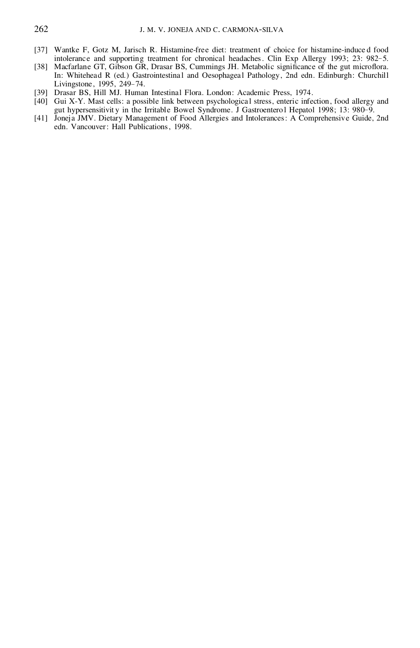- [37] Wantke F, Gotz M, Jarisch R. Histamine-free diet: treatment of choice for histamine-induce d food intolerance and supporting treatment for chronical headaches. Clin Exp Allergy 1993; 23: 982-5.
- [38] Macfarlane GT, Gibson GR, Drasar BS, Cummings JH. Metabolic significance of the gut microflora. In: Whitehead R (ed.) Gastrointestinal and Oesophageal Pathology, 2nd edn. Edinburgh: Churchill Livingstone , 1995, 249– 74.
- [39] Drasar BS, Hill MJ. Human Intestinal Flora. London: Academic Press, 1974.
- [40] Gui X-Y. Mast cells: a possible link between psychologica l stress, enteric infection, food allergy and gut hypersensitivit y in the Irritable Bowel Syndrome. J Gastroentero l Hepatol 1998; 13: 980– 9.
- [41] Joneja JMV. Dietary Management of Food Allergies and Intolerances: A Comprehensive Guide, 2nd edn. Vancouver: Hall Publications, 1998.